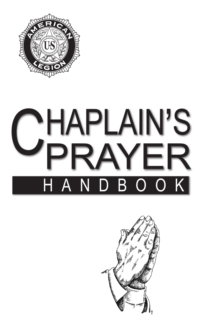

# CHAPLAIN'S<br>CPRAYER PRAYER A N D B O O K

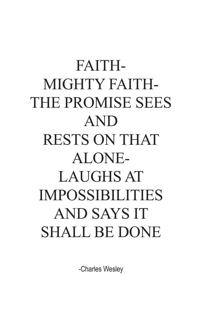# FAITH-MIGHTY FAITH-THE PROMISE SEES AND RESTS ON THAT ALONE-LAUGHS AT IMPOSSIBILITIES AND SAYS IT SHALL BE DONE

-Charles Wesley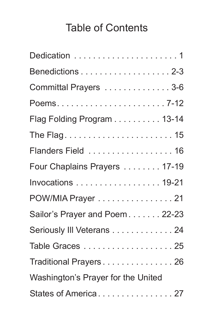# Table of Contents

| Benedictions 2-3                   |
|------------------------------------|
| Committal Prayers 3-6              |
|                                    |
| Flag Folding Program 13-14         |
|                                    |
| Flanders Field  16                 |
| Four Chaplains Prayers 17-19       |
| Invocations 19-21                  |
| POW/MIA Prayer 21                  |
| Sailor's Prayer and Poem 22-23     |
| Seriously III Veterans 24          |
| Table Graces 25                    |
| Traditional Prayers26              |
| Washington's Prayer for the United |
| States of America27                |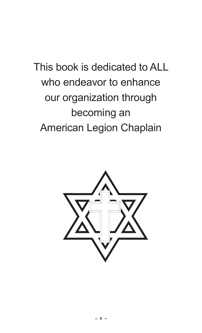This book is dedicated to ALL who endeavor to enhance our organization through becoming an American Legion Chaplain

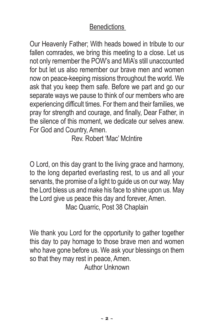#### **Benedictions**

Our Heavenly Father; With heads bowed in tribute to our fallen comrades, we bring this meeting to a close. Let us not only remember the POW's and MIA's still unaccounted for but let us also remember our brave men and women now on peace-keeping missions throughout the world. We ask that you keep them safe. Before we part and go our separate ways we pause to think of our members who are experiencing difficult times. For them and their families, we pray for strength and courage, and finally, Dear Father, in the silence of this moment, we dedicate our selves anew. For God and Country, Amen.

Rev. Robert 'Mac' McIntire

O Lord, on this day grant to the living grace and harmony, to the long departed everlasting rest, to us and all your servants, the promise of a light to guide us on our way. May the Lord bless us and make his face to shine upon us. May the Lord give us peace this day and forever, Amen. Mac Quarric, Post 38 Chaplain

We thank you Lord for the opportunity to gather together this day to pay homage to those brave men and women who have gone before us. We ask your blessings on them so that they may rest in peace, Amen.

Author Unknown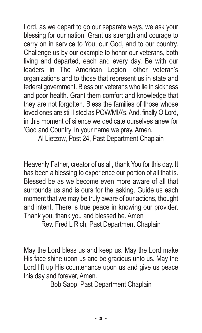Lord, as we depart to go our separate ways, we ask your blessing for our nation. Grant us strength and courage to carry on in service to You, our God, and to our country. Challenge us by our example to honor our veterans, both living and departed, each and every day. Be with our leaders in The American Legion, other veteran's organizations and to those that represent us in state and federal government. Bless our veterans who lie in sickness and poor health. Grant them comfort and knowledge that they are not forgotten. Bless the families of those whose loved ones are still listed as POW/MIA's.And, finally O Lord, in this moment of silence we dedicate ourselves anew for 'God and Country' In your name we pray, Amen.

Al Lietzow, Post 24, Past Department Chaplain

Heavenly Father, creator of us all, thank You for this day. It has been a blessing to experience our portion of all that is. Blessed be as we become even more aware of all that surrounds us and is ours for the asking. Guide us each moment that we may be truly aware of our actions, thought and intent. There is true peace in knowing our provider. Thank you, thank you and blessed be. Amen

Rev. Fred L Rich, Past Department Chaplain

May the Lord bless us and keep us. May the Lord make His face shine upon us and be gracious unto us. May the Lord lift up His countenance upon us and give us peace this day and forever, Amen.

Bob Sapp, Past Department Chaplain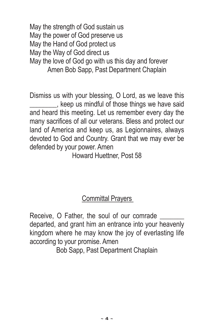May the strength of God sustain us May the power of God preserve us May the Hand of God protect us May the Way of God direct us May the love of God go with us this day and forever Amen Bob Sapp, Past Department Chaplain

Dismiss us with your blessing, O Lord, as we leave this \_\_\_\_\_\_\_\_, keep us mindful of those things we have said and heard this meeting. Let us remember every day the many sacrifices of all our veterans. Bless and protect our land of America and keep us, as Legionnaires, always devoted to God and Country. Grant that we may ever be defended by your power. Amen

Howard Huettner, Post 58

#### **Committal Prayers**

Receive, O Father, the soul of our comrade departed, and grant him an entrance into your heavenly kingdom where he may know the joy of everlasting life according to your promise. Amen

Bob Sapp, Past Department Chaplain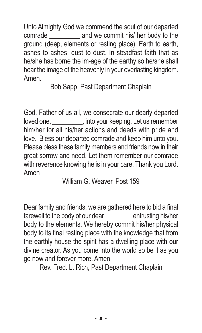Unto Almighty God we commend the soul of our departed comrade \_\_\_\_\_\_\_\_\_ and we commit his/ her body to the ground (deep, elements or resting place). Earth to earth, ashes to ashes, dust to dust. In steadfast faith that as he/she has borne the im-age of the earthy so he/she shall bear the image of the heavenly in your everlasting kingdom. Amen.

Bob Sapp, Past Department Chaplain

God, Father of us all, we consecrate our dearly departed loved one, \_\_\_\_\_\_\_\_\_, into your keeping. Let us remember him/her for all his/her actions and deeds with pride and love. Bless our departed comrade and keep him unto you. Please bless these family members and friends now in their great sorrow and need. Let them remember our comrade with reverence knowing he is in your care. Thank you Lord. Amen

William G. Weaver, Post 159

Dear family and friends, we are gathered here to bid a final farewell to the body of our dear entrusting his/her body to the elements. We hereby commit his/her physical body to its final resting place with the knowledge that from the earthly house the spirit has a dwelling place with our divine creator. As you come into the world so be it as you go now and forever more. Amen

Rev. Fred. L. Rich, Past Department Chaplain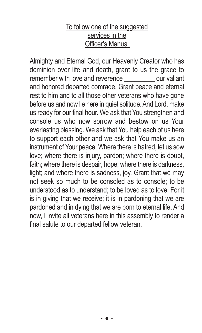#### To follow one of the suggested services in the Officer's Manual

Almighty and Eternal God, our Heavenly Creator who has dominion over life and death, grant to us the grace to remember with love and reverence **contains the valiant** and honored departed comrade. Grant peace and eternal rest to him and to all those other veterans who have gone before us and now lie here in quiet solitude. And Lord, make us ready for our final hour. We ask that You strengthen and console us who now sorrow and bestow on us Your everlasting blessing. We ask that You help each of us here to support each other and we ask that You make us an instrument of Your peace. Where there is hatred, let us sow love; where there is injury, pardon; where there is doubt, faith; where there is despair, hope; where there is darkness, light; and where there is sadness, joy. Grant that we may not seek so much to be consoled as to console; to be understood as to understand; to be loved as to love. For it is in giving that we receive; it is in pardoning that we are pardoned and in dying that we are born to eternal life. And now, I invite all veterans here in this assembly to render a final salute to our departed fellow veteran.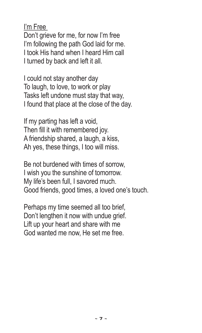I'm Free

Don't grieve for me, for now I'm free I'm following the path God laid for me. I took His hand when I heard Him call I turned by back and left it all.

I could not stay another day To laugh, to love, to work or play Tasks left undone must stay that way, I found that place at the close of the day.

If my parting has left a void, Then fill it with remembered joy. A friendship shared, a laugh, a kiss, Ah yes, these things, I too will miss.

Be not burdened with times of sorrow, I wish you the sunshine of tomorrow. My life's been full, I savored much. Good friends, good times, a loved one's touch.

Perhaps my time seemed all too brief, Don't lengthen it now with undue grief. Lift up your heart and share with me God wanted me now, He set me free.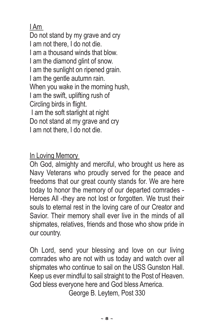I Am

Do not stand by my grave and cry I am not there, I do not die. I am a thousand winds that blow. I am the diamond glint of snow. I am the sunlight on ripened grain. I am the gentle autumn rain. When you wake in the morning hush. I am the swift, uplifting rush of Circling birds in flight. I am the soft starlight at night Do not stand at my grave and cry I am not there, I do not die.

In Loving Memory

Oh God, almighty and merciful, who brought us here as Navy Veterans who proudly served for the peace and freedoms that our great county stands for. We are here today to honor the memory of our departed comrades - Heroes All -they are not lost or forgotten. We trust their souls to eternal rest in the loving care of our Creator and Savior. Their memory shall ever live in the minds of all shipmates, relatives, friends and those who show pride in our country.

Oh Lord, send your blessing and love on our living comrades who are not with us today and watch over all shipmates who continue to sail on the USS Gunston Hall. Keep us ever mindful to sail straight to the Post of Heaven. God bless everyone here and God bless America.

George B. Leytem, Post 330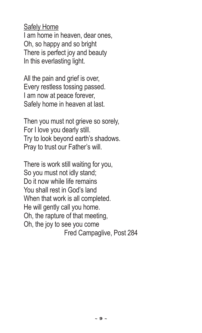#### Safely Home

I am home in heaven, dear ones, Oh, so happy and so bright There is perfect joy and beauty In this everlasting light.

All the pain and grief is over, Every restless tossing passed. I am now at peace forever, Safely home in heaven at last.

Then you must not grieve so sorely, For I love you dearly still. Try to look beyond earth's shadows. Pray to trust our Father's will.

There is work still waiting for you, So you must not idly stand; Do it now while life remains You shall rest in God's land When that work is all completed. He will gently call you home. Oh, the rapture of that meeting, Oh, the joy to see you come Fred Campaglive, Post 284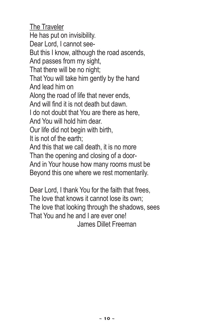The Traveler He has put on invisibility. Dear Lord, I cannot see-But this I know, although the road ascends, And passes from my sight, That there will be no night; That You will take him gently by the hand And lead him on Along the road of life that never ends, And will find it is not death but dawn. I do not doubt that You are there as here, And You will hold him dear. Our life did not begin with birth, It is not of the earth; And this that we call death, it is no more Than the opening and closing of a door-And in Your house how many rooms must be Beyond this one where we rest momentarily.

Dear Lord, I thank You for the faith that frees, The love that knows it cannot lose its own; The love that looking through the shadows, sees That You and he and I are ever one! James Dillet Freeman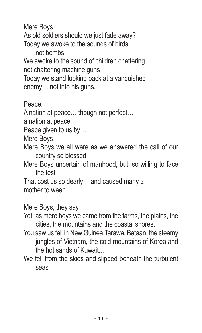Mere Boys

As old soldiers should we just fade away?

Today we awoke to the sounds of birds…

not bombs

We awoke to the sound of children chattering…

not chattering machine guns

Today we stand looking back at a vanquished enemy… not into his guns.

Peace.

A nation at peace… though not perfect…

a nation at peace!

Peace given to us by…

Mere Boys

Mere Boys we all were as we answered the call of our country so blessed.

Mere Boys uncertain of manhood, but, so willing to face the test

That cost us so dearly… and caused many a mother to weep.

Mere Boys, they say

Yet, as mere boys we came from the farms, the plains, the cities, the mountains and the coastal shores.

- You saw us fall in New Guinea,Tarawa, Bataan, the steamy jungles of Vietnam, the cold mountains of Korea and the hot sands of Kuwait…
- We fell from the skies and slipped beneath the turbulent seas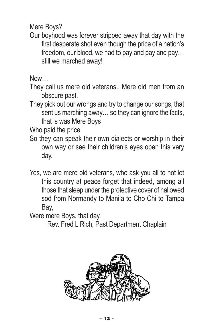Mere Boys?

Our boyhood was forever stripped away that day with the first desperate shot even though the price of a nation's freedom, our blood, we had to pay and pay and pay… still we marched away!

Now…

They call us mere old veterans.. Mere old men from an obscure past.

They pick out our wrongs and try to change our songs, that sent us marching away… so they can ignore the facts, that is was Mere Boys

Who paid the price.

- So they can speak their own dialects or worship in their own way or see their children's eyes open this very day.
- Yes, we are mere old veterans, who ask you all to not let this country at peace forget that indeed, among all those that sleep under the protective cover of hallowed sod from Normandy to Manila to Cho Chi to Tampa Bay,

Were mere Boys, that day.

Rev. Fred L Rich, Past Department Chaplain

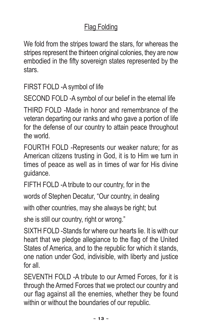#### Flag Folding

We fold from the stripes toward the stars, for whereas the stripes represent the thirteen original colonies, they are now embodied in the fifty sovereign states represented by the stars.

FIRST FOLD -A symbol of life

SECOND FOLD -A symbol of our belief in the eternal life

THIRD FOLD -Made in honor and remembrance of the veteran departing our ranks and who gave a portion of life for the defense of our country to attain peace throughout the world.

FOURTH FOLD -Represents our weaker nature; for as American citizens trusting in God, it is to Him we turn in times of peace as well as in times of war for His divine guidance.

FIFTH FOLD -A tribute to our country, for in the

words of Stephen Decatur, "Our country, in dealing

with other countries, may she always be right; but

she is still our country, right or wrong."

SIXTH FOLD -Stands for where our hearts lie. It is with our heart that we pledge allegiance to the flag of the United States of America, and to the republic for which it stands, one nation under God, indivisible, with liberty and justice for all.

SEVENTH FOLD -A tribute to our Armed Forces, for it is through the Armed Forces that we protect our country and our flag against all the enemies, whether they be found within or without the boundaries of our republic.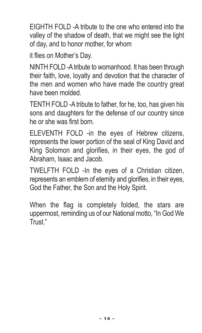EIGHTH FOLD -A tribute to the one who entered into the valley of the shadow of death, that we might see the light of day, and to honor mother, for whom

it flies on Mother's Day.

NINTH FOLD -Atribute to womanhood. It has been through their faith, love, loyalty and devotion that the character of the men and women who have made the country great have been molded.

TENTH FOLD -Atribute to father, for he, too, has given his sons and daughters for the defense of our country since he or she was first born.

ELEVENTH FOLD -in the eyes of Hebrew citizens, represents the lower portion of the seal of King David and King Solomon and glorifies, in their eyes, the god of Abraham, Isaac and Jacob.

TWELFTH FOLD -In the eyes of a Christian citizen, represents an emblem of eternity and glorifies, in their eyes, God the Father, the Son and the Holy Spirit.

When the flag is completely folded, the stars are uppermost, reminding us of our National motto, "In God We Trust."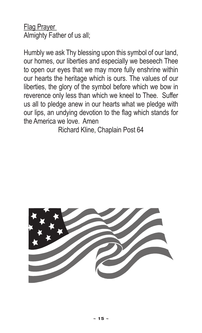Flag Prayer Almighty Father of us all;

Humbly we ask Thy blessing upon this symbol of our land, our homes, our liberties and especially we beseech Thee to open our eyes that we may more fully enshrine within our hearts the heritage which is ours. The values of our liberties, the glory of the symbol before which we bow in reverence only less than which we kneel to Thee. Suffer us all to pledge anew in our hearts what we pledge with our lips, an undying devotion to the flag which stands for the America we love. Amen

Richard Kline, Chaplain Post 64

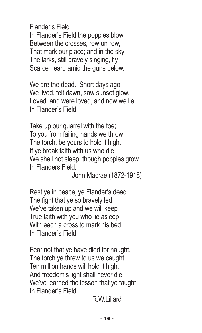Flander's Field

In Flander's Field the poppies blow Between the crosses, row on row, That mark our place; and in the sky The larks, still bravely singing, fly Scarce heard amid the guns below.

We are the dead. Short days ago We lived, felt dawn, saw sunset glow, Loved, and were loved, and now we lie In Flander's Field.

Take up our quarrel with the foe; To you from failing hands we throw The torch, be yours to hold it high. If ye break faith with us who die We shall not sleep, though poppies grow In Flanders Field.

John Macrae (1872-1918)

Rest ye in peace, ye Flander's dead. The fight that ye so bravely led We've taken up and we will keep True faith with you who lie asleep With each a cross to mark his bed, In Flander's Field

Fear not that ye have died for naught, The torch ye threw to us we caught. Ten million hands will hold it high, And freedom's light shall never die. We've learned the lesson that ye taught In Flander's Field.

R. W.Lillard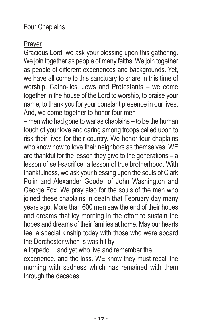#### Four Chaplains

#### Prayer

Gracious Lord, we ask your blessing upon this gathering. We join together as people of many faiths. We join together as people of different experiences and backgrounds. Yet, we have all come to this sanctuary to share in this time of worship. Catho-lics, Jews and Protestants – we come together in the house of the Lord to worship, to praise your name, to thank you for your constant presence in our lives. And, we come together to honor four men

–men who had gone to war as chaplains – to be the human touch of your love and caring among troops called upon to risk their lives for their country. We honor four chaplains who know how to love their neighbors as themselves. WE are thankful for the lesson they give to the generations – a lesson of self-sacrifice; a lesson of true brotherhood. With thankfulness, we ask your blessing upon the souls of Clark Polin and Alexander Goode, of John Washington and George Fox. We pray also for the souls of the men who joined these chaplains in death that February day many years ago. More than 600 men saw the end of their hopes and dreams that icy morning in the effort to sustain the hopes and dreams of their families at home. May our hearts feel a special kinship today with those who were aboard the Dorchester when is was hit by

a torpedo… and yet who live and remember the experience, and the loss. WE know they must recall the morning with sadness which has remained with them through the decades.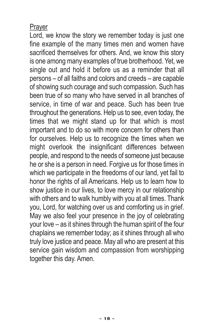#### Prayer

Lord, we know the story we remember today is just one fine example of the many times men and women have sacrificed themselves for others. And, we know this story is one among many examples of true brotherhood. Yet, we single out and hold it before us as a reminder that all persons – of all faiths and colors and creeds – are capable of showing such courage and such compassion. Such has been true of so many who have served in all branches of service, in time of war and peace. Such has been true throughout the generations. Help us to see, even today, the times that we might stand up for that which is most important and to do so with more concern for others than for ourselves. Help us to recognize the times when we might overlook the insignificant differences between people, and respond to the needs of someone just because he or she is a person in need. Forgive us for those times in which we participate in the freedoms of our land, yet fail to honor the rights of all Americans. Help us to learn how to show justice in our lives, to love mercy in our relationship with others and to walk humbly with you at all times. Thank you, Lord, for watching over us and comforting us in grief. May we also feel your presence in the joy of celebrating your love – as it shines through the human spirit of the four chaplains we remember today; as it shines through all who truly love justice and peace. May all who are present at this service gain wisdom and compassion from worshipping together this day. Amen.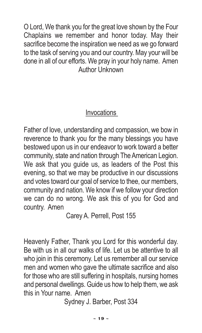O Lord, We thank you for the great love shown by the Four Chaplains we remember and honor today. May their sacrifice become the inspiration we need as we go forward to the task of serving you and our country. May your will be done in all of our efforts. We pray in your holy name. Amen Author Unknown

#### **Invocations**

Father of love, understanding and compassion, we bow in reverence to thank you for the many blessings you have bestowed upon us in our endeavor to work toward a better community, state and nation through The American Legion. We ask that you guide us, as leaders of the Post this evening, so that we may be productive in our discussions and votes toward our goal of service to thee, our members, community and nation. We know if we follow your direction we can do no wrong. We ask this of you for God and country. Amen

Carey A. Perrell, Post 155

Heavenly Father, Thank you Lord for this wonderful day. Be with us in all our walks of life. Let us be attentive to all who join in this ceremony. Let us remember all our service men and women who gave the ultimate sacrifice and also for those who are still suffering in hospitals, nursing homes and personal dwellings. Guide us how to help them, we ask this in Your name. Amen

Sydney J. Barber, Post 334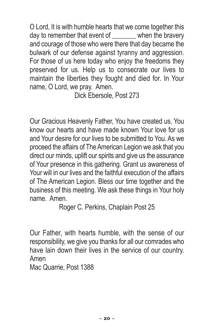O Lord, It is with humble hearts that we come together this day to remember that event of when the bravery and courage of those who were there that day became the bulwark of our defense against tyranny and aggression. For those of us here today who enjoy the freedoms they preserved for us. Help us to consecrate our lives to maintain the liberties they fought and died for. In Your name, O Lord, we pray. Amen.

Dick Ebersole, Post 273

Our Gracious Heavenly Father, You have created us, You know our hearts and have made known Your love for us and Your desire for our lives to be submitted to You. As we proceed the affairs of TheAmerican Legion we ask that you direct our minds, uplift our spirits and give us the assurance of Your presence in this gathering. Grant us awareness of Your will in our lives and the faithful execution of the affairs of The American Legion. Bless our time together and the business of this meeting. We ask these things in Your holy name. Amen.

Roger C. Perkins, Chaplain Post 25

Our Father, with hearts humble, with the sense of our responsibility, we give you thanks for all our comrades who have lain down their lives in the service of our country. Amen

Mac Quarrie, Post 1388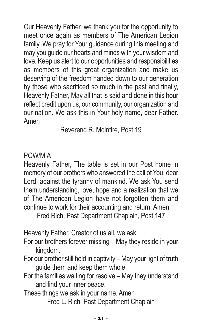Our Heavenly Father, we thank you for the opportunity to meet once again as members of The American Legion family. We pray for Your guidance during this meeting and may you guide our hearts and minds with your wisdom and love. Keep us alert to our opportunities and responsibilities as members of this great organization and make us deserving of the freedom handed down to our generation by those who sacrificed so much in the past and finally, Heavenly Father, May all that is said and done in this hour reflect credit upon us, our community, our organization and our nation. We ask this in Your holy name, dear Father. Amen

Reverend R. McIntire, Post 19

#### POW/MIA

Heavenly Father, The table is set in our Post home in memory of our brothers who answered the call of You, dear Lord, against the tyranny of mankind. We ask You send them understanding, love, hope and a realization that we of The American Legion have not forgotten them and continue to work for their accounting and return. Amen.

Fred Rich, Past Department Chaplain, Post 147

Heavenly Father, Creator of us all, we ask:

For our brothers forever missing – May they reside in your kingdom.

- For our brother still held in captivity May your light of truth guide them and keep them whole
- For the families waiting for resolve May they understand and find your inner peace.
- These things we ask in your name. Amen Fred L. Rich, Past Department Chaplain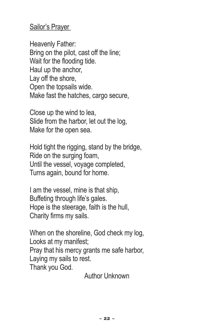#### Sailor's Prayer

Heavenly Father: Bring on the pilot, cast off the line; Wait for the flooding tide. Haul up the anchor, Lay off the shore, Open the topsails wide. Make fast the hatches, cargo secure,

Close up the wind to lea, Slide from the harbor, let out the log, Make for the open sea.

Hold tight the rigging, stand by the bridge, Ride on the surging foam, Until the vessel, voyage completed, Turns again, bound for home.

I am the vessel, mine is that ship. Buffeting through life's gales. Hope is the steerage, faith is the hull, Charity firms my sails.

When on the shoreline, God check my log, Looks at my manifest; Pray that his mercy grants me safe harbor, Laying my sails to rest. Thank you God.

Author Unknown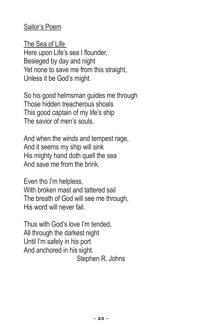#### Sailor's Poem

The Sea of Life Here upon Life's sea I flounder, Besieged by day and night Yet none to save me from this straight, Unless it be God's might.

So his good helmsman guides me through Those hidden treacherous shoals This good captain of my life's ship The savior of men's souls.

And when the winds and tempest rage, And it seems my ship will sink His mighty hand doth quell the sea And save me from the brink.

Even tho I'm helpless, With broken mast and tattered sail The breath of God will see me through, His word will never fail.

Thus with God's love I'm tended, All through the darkest night Until I'm safely in his port And anchored in his sight. Stephen R. Johns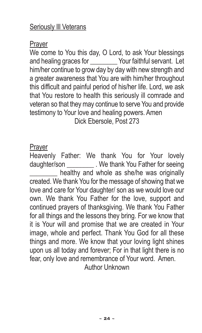Prayer

We come to You this day, O Lord, to ask Your blessings and healing graces for **Wour faithful servant.** Let him/her continue to grow day by day with new strength and a greater awareness that You are with him/her throughout this difficult and painful period of his/her life. Lord, we ask that You restore to health this seriously ill comrade and veteran so that theymay continue to serve You and provide testimony to Your love and healing powers. Amen Dick Ebersole, Post 273

#### Prayer

Heavenly Father: We thank You for Your lovely daughter/son \_\_\_\_\_\_\_\_ . We thank You Father for seeing healthy and whole as she/he was originally created. We thank You for the message of showing that we love and care for Your daughter/ son as we would love our own. We thank You Father for the love, support and continued prayers of thanksgiving. We thank You Father for all things and the lessons they bring. For we know that it is Your will and promise that we are created in Your image, whole and perfect. Thank You God for all these things and more. We know that your loving light shines upon us all today and forever; For in that light there is no fear, only love and remembrance of Your word. Amen. Author Unknown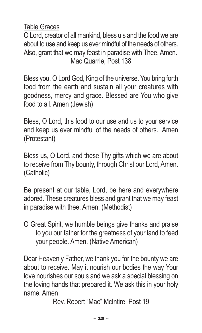Table Graces

OLord, creator of allmankind, bless u s and the food we are about to use and keep us ever mindful of the needs of others. Also, grant that we may feast in paradise with Thee. Amen. Mac Quarrie, Post 138

Bless you, O Lord God, King of the universe. You bring forth food from the earth and sustain all your creatures with goodness, mercy and grace. Blessed are You who give food to all. Amen (Jewish)

Bless, O Lord, this food to our use and us to your service and keep us ever mindful of the needs of others. Amen (Protestant)

Bless us, O Lord, and these Thy gifts which we are about to receive fromThy bounty, through Christ our Lord,Amen. (Catholic)

Be present at our table, Lord, be here and everywhere adored. These creatures bless and grant that we may feast in paradise with thee. Amen. (Methodist)

O Great Spirit, we humble beings give thanks and praise to you our father for the greatness of your land to feed your people. Amen. (Native American)

Dear Heavenly Father, we thank you for the bounty we are about to receive. May it nourish our bodies the way Your love nourishes our souls and we ask a special blessing on the loving hands that prepared it. We ask this in your holy name. Amen

Rev. Robert "Mac" McIntire, Post 19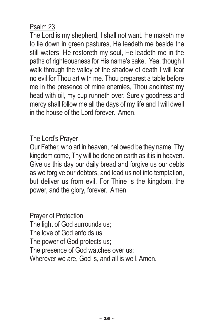#### Psalm 23

The Lord is my shepherd, I shall not want. He maketh me to lie down in green pastures, He leadeth me beside the still waters. He restoreth my soul, He leadeth me in the paths of righteousness for His name's sake. Yea, though I walk through the valley of the shadow of death I will fear no evil for Thou art with me. Thou preparest a table before me in the presence of mine enemies, Thou anointest my head with oil, my cup runneth over. Surely goodness and mercy shall follow me all the days of my life and I will dwell in the house of the Lord forever. Amen.

#### The Lord's Prayer

Our Father, who art in heaven, hallowed be they name. Thy kingdom come, Thy will be done on earth as it is in heaven. Give us this day our daily bread and forgive us our debts as we forgive our debtors, and lead us not into temptation, but deliver us from evil. For Thine is the kingdom, the power, and the glory, forever. Amen

Prayer of Protection The light of God surrounds us; The love of God enfolds us; The power of God protects us; The presence of God watches over us; Wherever we are, God is, and all is well. Amen.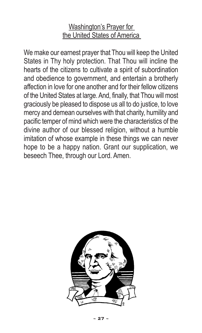#### Washington's Prayer for the United States of America

We make our earnest prayer that Thou will keep the United States in Thy holy protection. That Thou will incline the hearts of the citizens to cultivate a spirit of subordination and obedience to government, and entertain a brotherly affection in love for one another and for their fellow citizens of the United States at large. And, finally, that Thou will most graciously be pleased to dispose us all to do justice, to love mercy and demean ourselves with that charity, humility and pacific temper of mind which were the characteristics of the divine author of our blessed religion, without a humble imitation of whose example in these things we can never hope to be a happy nation. Grant our supplication, we beseech Thee, through our Lord. Amen.

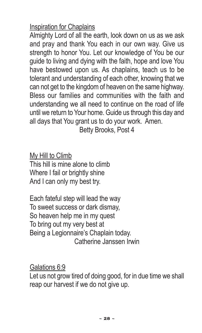#### Inspiration for Chaplains

Almighty Lord of all the earth, look down on us as we ask and pray and thank You each in our own way. Give us strength to honor You. Let our knowledge of You be our guide to living and dying with the faith, hope and love You have bestowed upon us. As chaplains, teach us to be tolerant and understanding of each other, knowing that we can not get to the kingdom of heaven on the same highway. Bless our families and communities with the faith and understanding we all need to continue on the road of life until we return to Your home. Guide us through this day and all days that You grant us to do your work. Amen.

Betty Brooks, Post 4

My Hill to Climb This hill is mine alone to climb Where I fail or brightly shine And I can only my best try.

Each fateful step will lead the way To sweet success or dark dismay, So heaven help me in my quest To bring out my very best at Being a Legionnaire's Chaplain today. Catherine Janssen Irwin

Galations 6:9 Let us not grow tired of doing good, for in due time we shall reap our harvest if we do not give up.